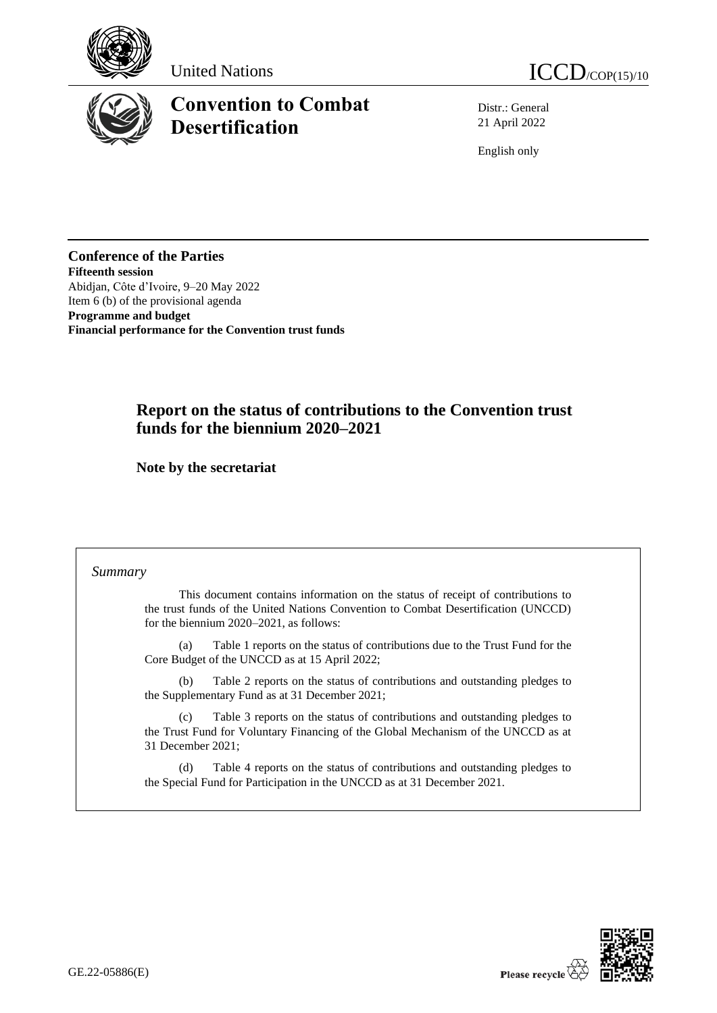





# **Convention to Combat Desertification**

Distr.: General 21 April 2022

English only

**Conference of the Parties Fifteenth session** Abidjan, Côte d'Ivoire, 9–20 May 2022 Item 6 (b) of the provisional agenda **Programme and budget Financial performance for the Convention trust funds**

# **Report on the status of contributions to the Convention trust funds for the biennium 2020–2021**

**Note by the secretariat**

# *Summary*

This document contains information on the status of receipt of contributions to the trust funds of the United Nations Convention to Combat Desertification (UNCCD) for the biennium 2020–2021, as follows:

(a) Table 1 reports on the status of contributions due to the Trust Fund for the Core Budget of the UNCCD as at 15 April 2022;

(b) Table 2 reports on the status of contributions and outstanding pledges to the Supplementary Fund as at 31 December 2021;

(c) Table 3 reports on the status of contributions and outstanding pledges to the Trust Fund for Voluntary Financing of the Global Mechanism of the UNCCD as at 31 December 2021;

(d) Table 4 reports on the status of contributions and outstanding pledges to the Special Fund for Participation in the UNCCD as at 31 December 2021.

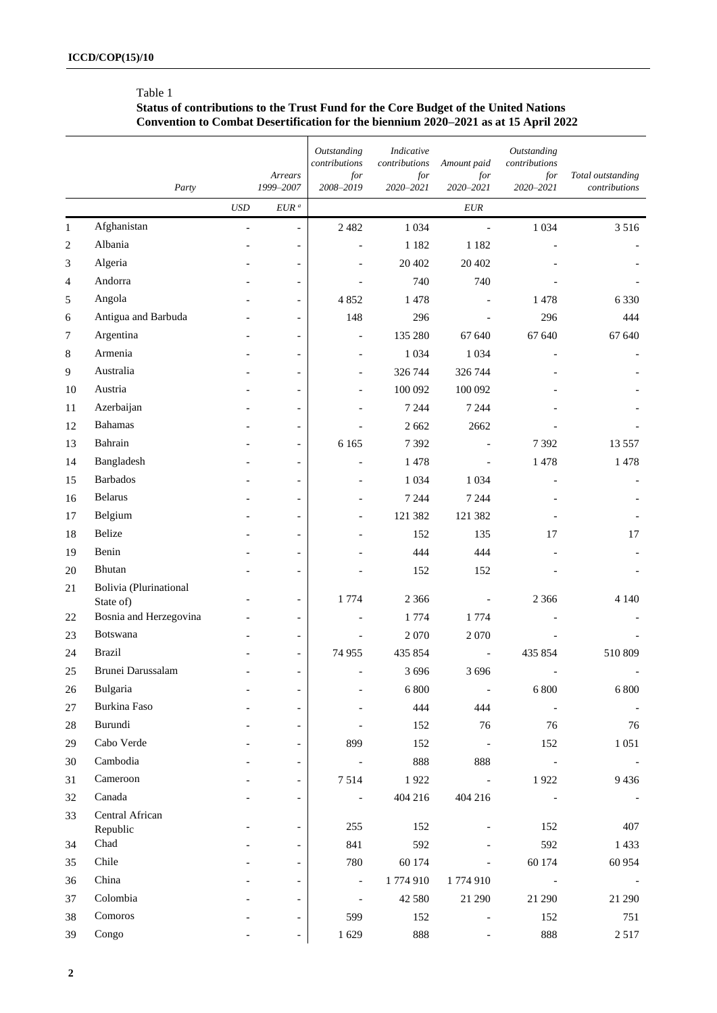# Table 1

#### **Status of contributions to the Trust Fund for the Core Budget of the United Nations Convention to Combat Desertification for the biennium 2020–2021 as at 15 April 2022**

|                |                             |                             | Arrears                  | Outstanding<br>contributions<br>for | Indicative<br>contributions<br>for | Amount paid<br>for       | Outstanding<br>contributions<br>for | Total outstanding |
|----------------|-----------------------------|-----------------------------|--------------------------|-------------------------------------|------------------------------------|--------------------------|-------------------------------------|-------------------|
|                | Party                       |                             | 1999-2007                | 2008-2019                           | 2020-2021                          | 2020-2021                | 2020-2021                           | contributions     |
|                |                             | $\ensuremath{\mathit{USD}}$ | $EUR\ ^a$                |                                     |                                    | $\it EUR$                |                                     |                   |
| $\mathbf{1}$   | Afghanistan                 | $\frac{1}{2}$               | $\blacksquare$           | 2 4 8 2                             | 1 0 3 4                            | $\overline{\phantom{a}}$ | 1 0 3 4                             | 3 5 1 6           |
| $\mathbf{2}$   | Albania                     |                             | $\overline{\phantom{a}}$ |                                     | 1 1 8 2                            | 1 1 8 2                  |                                     |                   |
| 3              | Algeria                     |                             | $\overline{\phantom{a}}$ |                                     | 20 402                             | 20 402                   |                                     |                   |
| $\overline{4}$ | Andorra                     |                             | $\overline{\phantom{a}}$ |                                     | 740                                | 740                      |                                     |                   |
| 5              | Angola                      |                             | $\overline{\phantom{a}}$ | 4 8 5 2                             | 1478                               |                          | 1478                                | 6 3 3 0           |
| 6              | Antigua and Barbuda         |                             | $\overline{\phantom{a}}$ | 148                                 | 296                                |                          | 296                                 | 444               |
| 7              | Argentina                   |                             | $\overline{\phantom{a}}$ |                                     | 135 280                            | 67 640                   | 67 640                              | 67 640            |
| 8              | Armenia                     |                             | $\overline{\phantom{a}}$ |                                     | 1 0 3 4                            | 1 0 3 4                  |                                     |                   |
| $\overline{9}$ | Australia                   |                             | $\overline{\phantom{a}}$ |                                     | 326 744                            | 326 744                  |                                     |                   |
| 10             | Austria                     |                             | $\overline{\phantom{a}}$ |                                     | 100 092                            | 100 092                  |                                     |                   |
| 11             | Azerbaijan                  |                             | $\overline{\phantom{a}}$ |                                     | 7 2 4 4                            | 7 2 4 4                  |                                     |                   |
| 12             | <b>Bahamas</b>              |                             | $\overline{\phantom{a}}$ |                                     | 2 6 6 2                            | 2662                     |                                     |                   |
| 13             | Bahrain                     |                             | $\overline{\phantom{a}}$ | 6 1 6 5                             | 7392                               |                          | 7392                                | 13 5 5 7          |
| 14             | Bangladesh                  |                             | $\overline{\phantom{a}}$ |                                     | 1478                               |                          | 1478                                | 1478              |
| 15             | <b>Barbados</b>             |                             | $\overline{\phantom{a}}$ |                                     | 1 0 3 4                            | 1 0 3 4                  |                                     |                   |
| 16             | Belarus                     |                             | $\overline{\phantom{a}}$ |                                     | 7 2 4 4                            | 7 2 4 4                  |                                     |                   |
| 17             | Belgium                     |                             | $\overline{\phantom{a}}$ |                                     | 121 382                            | 121 382                  |                                     |                   |
| 18             | Belize                      |                             | $\overline{\phantom{a}}$ |                                     | 152                                | 135                      | 17                                  | 17                |
| 19             | Benin                       |                             | $\overline{\phantom{a}}$ |                                     | 444                                | 444                      |                                     |                   |
| 20             | Bhutan                      |                             | $\overline{\phantom{a}}$ |                                     | 152                                | 152                      |                                     |                   |
| 21             | Bolivia (Plurinational      |                             |                          |                                     |                                    |                          |                                     |                   |
|                | State of)                   |                             | $\overline{\phantom{a}}$ | 1774                                | 2 3 6 6                            |                          | 2 3 6 6                             | 4 1 4 0           |
| 22             | Bosnia and Herzegovina      |                             | $\blacksquare$           |                                     | 1774                               | 1774                     |                                     |                   |
| 23             | Botswana                    |                             | $\overline{\phantom{a}}$ |                                     | 2070                               | 2 0 7 0                  |                                     |                   |
| 24             | <b>Brazil</b>               |                             | $\overline{\phantom{a}}$ | 74 955                              | 435 854                            |                          | 435 854                             | 510 809           |
| $25\,$         | Brunei Darussalam           |                             | $\overline{\phantom{0}}$ |                                     | 3696                               | 3 6 9 6                  |                                     |                   |
| 26             | Bulgaria                    |                             | $\overline{\phantom{a}}$ |                                     | 6 800                              | $\overline{\phantom{a}}$ | 6 800                               | 6 800             |
| 27             | Burkina Faso                |                             | $\overline{\phantom{a}}$ |                                     | 444                                | 444                      | $\blacksquare$                      |                   |
| 28             | Burundi                     |                             | $\overline{\phantom{a}}$ |                                     | 152                                | 76                       | 76                                  | 76                |
| 29             | Cabo Verde                  |                             | $\overline{\phantom{a}}$ | 899                                 | 152                                | $\overline{\phantom{a}}$ | 152                                 | $1\;051$          |
| 30             | Cambodia                    |                             | $\overline{\phantom{a}}$ | $\overline{\phantom{a}}$            | 888                                | 888                      | $\overline{\phantom{a}}$            |                   |
| 31             | Cameroon                    |                             | $\overline{\phantom{a}}$ | 7514                                | 1922                               | $\overline{\phantom{a}}$ | 1922                                | 9436              |
| 32             | Canada                      |                             | $\overline{\phantom{a}}$ | $\blacksquare$                      | 404 216                            | 404 216                  |                                     |                   |
| 33             | Central African<br>Republic |                             | $\overline{\phantom{a}}$ | 255                                 | 152                                |                          | 152                                 | 407               |
| 34             | Chad                        |                             | $\overline{\phantom{a}}$ | 841                                 | 592                                |                          | 592                                 | 1433              |
| 35             | Chile                       |                             | $\overline{\phantom{a}}$ | 780                                 | 60 174                             | $\overline{\phantom{a}}$ | 60 174                              | 60 954            |
| 36             | China                       |                             | $\overline{\phantom{a}}$ | $\blacksquare$                      | 1774910                            | 1774910                  | $\sim$ $-$                          |                   |
| 37             | Colombia                    |                             | $\overline{\phantom{a}}$ | $\blacksquare$                      | 42 5 8 0                           | 21 290                   | 21 290                              | 21 290            |
| 38             | Comoros                     |                             | $\overline{\phantom{a}}$ | 599                                 | 152                                |                          | 152                                 | 751               |
| 39             | Congo                       |                             |                          | 1629                                | 888                                |                          | 888                                 | 2517              |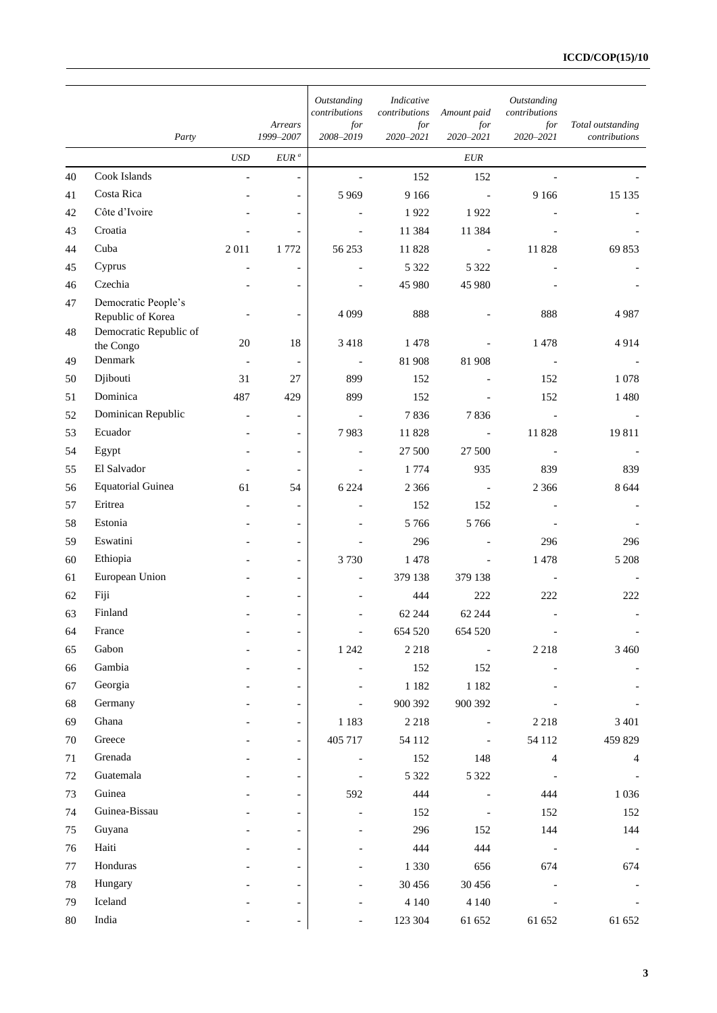|              |                                          |                          | Arrears                  | Outstanding<br>contributions<br>for | Indicative<br>contributions<br>for | Amount paid<br>for       | Outstanding<br>contributions<br>for | Total outstanding |
|--------------|------------------------------------------|--------------------------|--------------------------|-------------------------------------|------------------------------------|--------------------------|-------------------------------------|-------------------|
|              | Party                                    |                          | 1999-2007                | 2008-2019                           | 2020-2021                          | 2020-2021                | 2020-2021                           | contributions     |
|              |                                          | <b>USD</b>               | $EUR^a$                  |                                     |                                    | EUR                      |                                     |                   |
| 40           | Cook Islands                             | $\mathcal{L}$            | $\overline{\phantom{a}}$ | $\overline{\phantom{a}}$            | 152                                | 152                      | $\overline{\phantom{a}}$            |                   |
| 41           | Costa Rica                               |                          | $\overline{\phantom{0}}$ | 5 9 6 9                             | 9 1 6 6                            | $\overline{\phantom{a}}$ | 9 1 6 6                             | 15 1 35           |
| 42           | Côte d'Ivoire                            |                          |                          |                                     | 1922                               | 1922                     |                                     |                   |
| 43           | Croatia                                  |                          |                          |                                     | 11 3 8 4                           | 11 384                   |                                     |                   |
| 44           | Cuba                                     | 2011                     | 1772                     | 56 253                              | 11828                              | $\overline{\phantom{a}}$ | 11828                               | 69 853            |
| 45           | Cyprus                                   |                          | $\overline{\phantom{a}}$ |                                     | 5 3 2 2                            | 5 3 2 2                  |                                     |                   |
| 46           | Czechia                                  |                          |                          |                                     | 45 980                             | 45 980                   |                                     |                   |
| 47           | Democratic People's<br>Republic of Korea |                          |                          | 4 0 9 9                             | 888                                |                          | 888                                 | 4987              |
| 48           | Democratic Republic of                   |                          |                          |                                     |                                    |                          |                                     |                   |
|              | the Congo                                | $20\,$                   | 18                       | 3 4 1 8                             | 1478                               |                          | 1478                                | 4914              |
| 49           | Denmark                                  | $\overline{\phantom{a}}$ | $\overline{\phantom{a}}$ | $\qquad \qquad \blacksquare$        | 81 908                             | 81 908                   |                                     |                   |
| 50           | Djibouti                                 | 31                       | 27                       | 899                                 | 152                                |                          | 152                                 | 1 0 7 8           |
| 51           | Dominica                                 | 487                      | 429                      | 899                                 | 152                                |                          | 152                                 | 1480              |
| 52           | Dominican Republic                       |                          | $\overline{\phantom{a}}$ | $\blacksquare$                      | 7836                               | 7836                     | $\overline{\phantom{a}}$            |                   |
| 53           | Ecuador                                  | $\overline{\phantom{a}}$ | $\overline{\phantom{a}}$ | 7983                                | 11828                              | $\overline{\phantom{a}}$ | 11828                               | 19811             |
| 54           | Egypt                                    |                          | $\overline{\phantom{a}}$ |                                     | 27 500                             | 27 500                   |                                     |                   |
| 55           | El Salvador                              |                          | $\blacksquare$           |                                     | 1 7 7 4                            | 935                      | 839                                 | 839               |
| 56           | <b>Equatorial Guinea</b>                 | 61                       | 54                       | 6 2 2 4                             | 2 3 6 6                            |                          | 2 3 6 6                             | 8 6 4 4           |
| 57           | Eritrea<br>Estonia                       |                          | $\overline{\phantom{a}}$ |                                     | 152                                | 152                      |                                     |                   |
| 58           | Eswatini                                 |                          | $\blacksquare$           |                                     | 5766                               | 5766                     |                                     |                   |
| 59           |                                          |                          | $\blacksquare$           |                                     | 296                                |                          | 296                                 | 296               |
| 60           | Ethiopia<br>European Union               |                          | $\overline{\phantom{a}}$ | 3730                                | 1478                               | 379 138                  | 1478                                | 5 2 0 8           |
| 61           | Fiji                                     |                          | $\overline{\phantom{a}}$ |                                     | 379 138                            |                          |                                     |                   |
| 62           | Finland                                  |                          | $\overline{\phantom{a}}$ |                                     | 444                                | 222                      | 222                                 | 222               |
| 63           | France                                   |                          | $\overline{\phantom{a}}$ |                                     | 62 244                             | 62 244                   |                                     |                   |
| 64           | Gabon                                    |                          | $\overline{\phantom{0}}$ | $\frac{1}{2}$                       | 654 520                            | 654 520                  |                                     |                   |
| 65           | Gambia                                   |                          | $\overline{\phantom{0}}$ | 1 2 4 2                             | 2 2 1 8                            |                          | 2 2 1 8                             | 3 4 6 0           |
| 66<br>67     | Georgia                                  |                          | $\overline{\phantom{a}}$ |                                     | 152                                | 152                      |                                     |                   |
|              | Germany                                  |                          | $\overline{\phantom{a}}$ |                                     | 1 1 8 2<br>900 392                 | 1 1 8 2                  |                                     |                   |
| 68<br>69     | Ghana                                    |                          | $\overline{\phantom{a}}$ |                                     |                                    | 900 392                  |                                     | 3 4 0 1           |
|              | Greece                                   |                          | $\overline{\phantom{0}}$ | 1 1 8 3                             | 2 2 1 8                            |                          | 2 2 1 8                             |                   |
| 70           | Grenada                                  |                          | $\overline{\phantom{0}}$ | 405 717                             | 54 1 12                            |                          | 54 112                              | 459 829           |
| 71<br>$72\,$ | Guatemala                                |                          | $\overline{\phantom{a}}$ | $\blacksquare$                      | 152                                | 148                      | $\overline{4}$                      | 4                 |
| 73           | Guinea                                   |                          |                          | 592                                 | 5 3 2 2<br>444                     | 5 3 2 2                  | 444                                 |                   |
|              | Guinea-Bissau                            |                          | $\blacksquare$           |                                     |                                    |                          |                                     | 1 0 3 6           |
| 74           |                                          |                          | $\blacksquare$           |                                     | 152                                |                          | 152                                 | 152               |
| 75           | Guyana<br>Haiti                          |                          | $\blacksquare$           |                                     | 296                                | 152                      | 144                                 | 144               |
| 76           |                                          |                          |                          |                                     | 444                                | 444                      |                                     |                   |
| 77           | Honduras                                 |                          | $\blacksquare$           |                                     | 1 3 3 0                            | 656                      | 674                                 | 674               |
| 78           | Hungary                                  |                          |                          |                                     | 30 45 6                            | 30 456                   |                                     |                   |
| 79           | Iceland                                  |                          | $\blacksquare$           |                                     | 4 1 4 0                            | 4 1 4 0                  |                                     |                   |
| $80\,$       | India                                    |                          |                          |                                     | 123 304                            | 61 652                   | 61 652                              | 61 652            |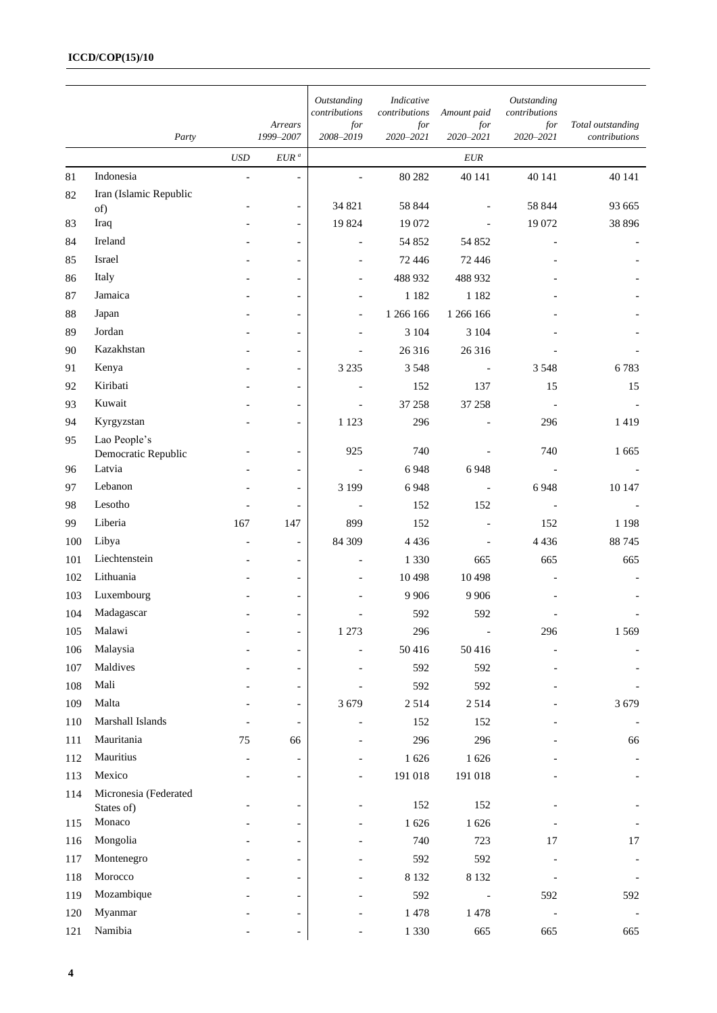## **ICCD/COP(15)/10**

|     |                        |                |                          | Outstanding<br>contributions | Indicative<br>contributions | Amount paid      | Outstanding<br>contributions |                                    |
|-----|------------------------|----------------|--------------------------|------------------------------|-----------------------------|------------------|------------------------------|------------------------------------|
|     | Party                  |                | Arrears<br>1999-2007     | for<br>2008-2019             | for<br>2020-2021            | for<br>2020-2021 | for<br>2020-2021             | Total outstanding<br>contributions |
|     |                        | <b>USD</b>     | $EUR^a$                  |                              |                             | EUR              |                              |                                    |
| 81  | Indonesia              | $\overline{a}$ | $\frac{1}{2}$            |                              | 80 282                      | 40 141           | 40 141                       | 40 141                             |
| 82  | Iran (Islamic Republic |                |                          |                              |                             |                  |                              |                                    |
|     | of)                    |                | $\blacksquare$           | 34 821                       | 58 844                      |                  | 58 844                       | 93 665                             |
| 83  | Iraq                   |                | $\overline{\phantom{a}}$ | 19824                        | 19 072                      |                  | 19 072                       | 38 8 9 6                           |
| 84  | Ireland                |                | $\overline{\phantom{0}}$ | $\overline{a}$               | 54 852                      | 54 852           |                              |                                    |
| 85  | Israel                 |                | $\overline{\phantom{0}}$ |                              | 72 446                      | 72 446           |                              |                                    |
| 86  | Italy                  |                | $\overline{\phantom{a}}$ |                              | 488 932                     | 488 932          |                              |                                    |
| 87  | Jamaica                |                | $\overline{\phantom{0}}$ |                              | 1 1 8 2                     | 1 1 8 2          |                              |                                    |
| 88  | Japan                  |                | $\overline{\phantom{a}}$ | $\overline{a}$               | 1 266 166                   | 1 266 166        |                              |                                    |
| 89  | Jordan                 |                | $\overline{\phantom{0}}$ |                              | 3 1 0 4                     | 3 104            |                              |                                    |
| 90  | Kazakhstan             |                | $\overline{\phantom{a}}$ |                              | 26 316                      | 26 316           |                              |                                    |
| 91  | Kenya                  |                | $\overline{\phantom{0}}$ | 3 2 3 5                      | 3 5 4 8                     |                  | 3 5 4 8                      | 6783                               |
| 92  | Kiribati               |                | $\overline{\phantom{a}}$ |                              | 152                         | 137              | 15                           | 15                                 |
| 93  | Kuwait                 |                | $\overline{\phantom{a}}$ |                              | 37 258                      | 37 258           |                              |                                    |
| 94  | Kyrgyzstan             |                | $\overline{\phantom{a}}$ | 1 1 2 3                      | 296                         |                  | 296                          | 1419                               |
| 95  | Lao People's           |                |                          |                              |                             |                  |                              |                                    |
|     | Democratic Republic    |                | $\overline{\phantom{a}}$ | 925                          | 740                         |                  | 740                          | 1 6 6 5                            |
| 96  | Latvia                 |                | $\overline{\phantom{a}}$ |                              | 6948                        | 6948             |                              |                                    |
| 97  | Lebanon                |                | $\overline{\phantom{a}}$ | 3 1 9 9                      | 6948                        |                  | 6948                         | 10 147                             |
| 98  | Lesotho                |                | $\overline{\phantom{a}}$ | $\overline{\phantom{a}}$     | 152                         | 152              |                              |                                    |
| 99  | Liberia                | 167            | 147                      | 899                          | 152                         |                  | 152                          | 1 1 9 8                            |
| 100 | Libya                  |                | $\overline{\phantom{a}}$ | 84 309                       | 4 4 3 6                     |                  | 4 4 3 6                      | 88745                              |
| 101 | Liechtenstein          |                | $\overline{\phantom{a}}$ |                              | 1 3 3 0                     | 665              | 665                          | 665                                |
| 102 | Lithuania              |                | $\overline{\phantom{a}}$ |                              | 10498                       | 10 4 98          |                              |                                    |
| 103 | Luxembourg             |                | $\overline{\phantom{a}}$ |                              | 9 9 0 6                     | 9 9 0 6          |                              |                                    |
| 104 | Madagascar             |                | $\overline{\phantom{a}}$ |                              | 592                         | 592              |                              |                                    |
| 105 | Malawi                 |                | $\overline{\phantom{a}}$ | 1 273                        | 296                         | $\overline{a}$   | 296                          | 1569                               |
| 106 | Malaysia               |                | $\blacksquare$           |                              | 50416                       | 50416            |                              |                                    |
| 107 | Maldives               |                | $\overline{\phantom{a}}$ |                              | 592                         | 592              |                              |                                    |
| 108 | Mali                   |                | $\overline{\phantom{0}}$ |                              | 592                         | 592              |                              |                                    |
| 109 | Malta                  |                | $\overline{\phantom{a}}$ | 3679                         | 2514                        | 2514             |                              | 3679                               |
| 110 | Marshall Islands       |                | $\overline{\phantom{a}}$ |                              | 152                         | 152              |                              |                                    |
| 111 | Mauritania             | 75             | 66                       |                              | 296                         | 296              |                              | 66                                 |
| 112 | Mauritius              |                | $\qquad \qquad -$        |                              | 1626                        | $1\;626$         |                              |                                    |
| 113 | Mexico                 |                | $\overline{\phantom{a}}$ | $\overline{a}$               | 191 018                     | 191 018          |                              |                                    |
| 114 | Micronesia (Federated  |                |                          |                              |                             |                  |                              |                                    |
|     | States of)             |                | $\overline{\phantom{a}}$ |                              | 152                         | 152              |                              |                                    |
| 115 | Monaco                 |                | $\overline{\phantom{0}}$ |                              | 1626                        | $1\;626$         |                              |                                    |
| 116 | Mongolia               |                | $\overline{\phantom{0}}$ |                              | 740                         | 723              | 17                           | 17                                 |
| 117 | Montenegro             |                | $\overline{\phantom{0}}$ |                              | 592                         | 592              |                              |                                    |
| 118 | Morocco                |                | $\overline{\phantom{0}}$ |                              | 8 1 3 2                     | 8 1 3 2          |                              |                                    |
| 119 | Mozambique             |                | $\overline{\phantom{0}}$ |                              | 592                         |                  | 592                          | 592                                |
| 120 | Myanmar                |                | $\overline{\phantom{a}}$ |                              | 1478                        | 1478             |                              |                                    |
| 121 | Namibia                |                |                          |                              | 1 3 3 0                     | 665              | 665                          | 665                                |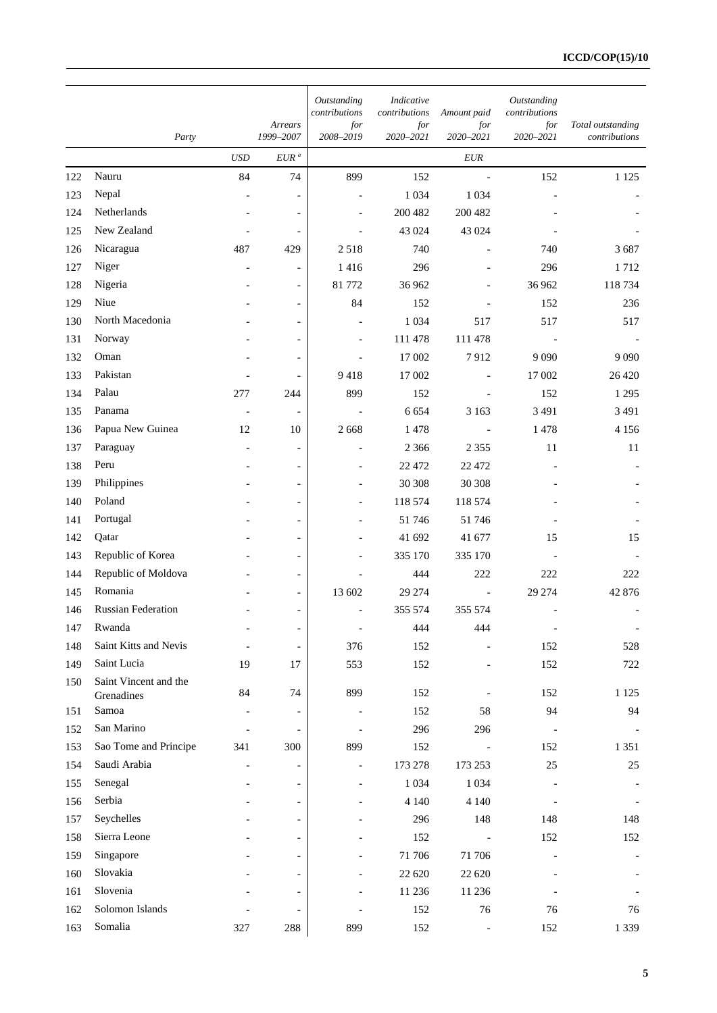|     |                                     |                          |                          | Outstanding<br>contributions | Indicative<br>contributions | Amount paid              | Outstanding<br>contributions |                                    |
|-----|-------------------------------------|--------------------------|--------------------------|------------------------------|-----------------------------|--------------------------|------------------------------|------------------------------------|
|     | Party                               |                          | Arrears<br>1999-2007     | for<br>2008-2019             | for<br>2020-2021            | for<br>2020-2021         | for<br>2020-2021             | Total outstanding<br>contributions |
|     |                                     | <b>USD</b>               | $EUR^a$                  |                              |                             | EUR                      |                              |                                    |
| 122 | Nauru                               | 84                       | 74                       | 899                          | 152                         | $\overline{\phantom{a}}$ | 152                          | 1 1 2 5                            |
| 123 | Nepal                               |                          | $\overline{\phantom{a}}$ |                              | 1 0 3 4                     | 1 0 3 4                  |                              |                                    |
| 124 | Netherlands                         |                          | $\overline{\phantom{a}}$ |                              | 200 482                     | 200 482                  |                              |                                    |
| 125 | New Zealand                         |                          | $\overline{\phantom{a}}$ |                              | 43 024                      | 43 024                   |                              |                                    |
| 126 | Nicaragua                           | 487                      | 429                      | 2518                         | 740                         |                          | 740                          | 3687                               |
| 127 | Niger                               |                          | $\overline{\phantom{a}}$ | 1416                         | 296                         |                          | 296                          | 1712                               |
| 128 | Nigeria                             |                          | $\overline{\phantom{a}}$ | 81 772                       | 36 962                      |                          | 36 962                       | 118 734                            |
| 129 | Niue                                |                          | $\overline{\phantom{a}}$ | 84                           | 152                         |                          | 152                          | 236                                |
| 130 | North Macedonia                     |                          | $\blacksquare$           |                              | 1 0 3 4                     | 517                      | 517                          | 517                                |
| 131 | Norway                              |                          | $\overline{\phantom{a}}$ |                              | 111 478                     | 111 478                  |                              |                                    |
| 132 | Oman                                |                          | $\overline{\phantom{a}}$ |                              | 17 002                      | 7912                     | 9 0 9 0                      | 9 0 9 0                            |
| 133 | Pakistan                            |                          | $\blacksquare$           | 9418                         | 17 002                      |                          | 17 002                       | 26 4 20                            |
| 134 | Palau                               | 277                      | 244                      | 899                          | 152                         |                          | 152                          | 1 2 9 5                            |
| 135 | Panama                              | $\overline{\phantom{a}}$ | $\overline{\phantom{a}}$ |                              | 6 6 5 4                     | 3 1 6 3                  | 3 4 9 1                      | 3 4 9 1                            |
| 136 | Papua New Guinea                    | 12                       | 10                       | 2 6 6 8                      | 1478                        |                          | 1478                         | 4 1 5 6                            |
| 137 | Paraguay                            |                          | $\overline{\phantom{a}}$ | $\overline{a}$               | 2 3 6 6                     | 2 3 5 5                  | 11                           | 11                                 |
| 138 | Peru                                |                          | $\overline{\phantom{a}}$ |                              | 22 472                      | 22 472                   |                              |                                    |
| 139 | Philippines                         |                          | $\overline{\phantom{a}}$ |                              | 30 30 8                     | 30 30 8                  |                              |                                    |
| 140 | Poland                              |                          | $\overline{\phantom{a}}$ |                              | 118 574                     | 118 574                  |                              |                                    |
| 141 | Portugal                            |                          | $\overline{\phantom{a}}$ |                              | 51746                       | 51 746                   |                              |                                    |
| 142 | Qatar                               |                          | $\overline{\phantom{a}}$ |                              | 41 692                      | 41 677                   | 15                           | 15                                 |
| 143 | Republic of Korea                   |                          | $\overline{\phantom{a}}$ |                              | 335 170                     | 335 170                  |                              |                                    |
| 144 | Republic of Moldova                 |                          | $\overline{\phantom{a}}$ |                              | 444                         | 222                      | 222                          | 222                                |
| 145 | Romania                             |                          | $\overline{\phantom{a}}$ | 13 602                       | 29 274                      |                          | 29 274                       | 42 876                             |
| 146 | <b>Russian Federation</b>           |                          | $\overline{\phantom{a}}$ |                              | 355 574                     | 355 574                  |                              |                                    |
| 147 | Rwanda                              | $\overline{\phantom{a}}$ | $\overline{\phantom{a}}$ | $\overline{\phantom{a}}$     | 444                         | 444                      | $\qquad \qquad \blacksquare$ |                                    |
| 148 | Saint Kitts and Nevis               |                          | $\blacksquare$           | 376                          | 152                         |                          | 152                          | 528                                |
| 149 | Saint Lucia                         | 19                       | 17                       | 553                          | 152                         |                          | 152                          | 722                                |
| 150 | Saint Vincent and the<br>Grenadines | 84                       | 74                       | 899                          | 152                         |                          | 152                          | 1 1 2 5                            |
| 151 | Samoa                               |                          | $\overline{\phantom{a}}$ |                              | 152                         | 58                       | 94                           | 94                                 |
| 152 | San Marino                          |                          | $\overline{\phantom{a}}$ |                              | 296                         | 296                      |                              |                                    |
| 153 | Sao Tome and Principe               | 341                      | 300                      | 899                          | 152                         |                          | 152                          | 1 3 5 1                            |
| 154 | Saudi Arabia                        |                          | $\blacksquare$           | $\overline{a}$               | 173 278                     | 173 253                  | $25\,$                       | 25                                 |
| 155 | Senegal                             |                          | $\overline{\phantom{a}}$ |                              | 1 0 3 4                     | 1 0 3 4                  |                              |                                    |
| 156 | Serbia                              |                          | $\overline{\phantom{a}}$ |                              | 4 1 4 0                     | 4 1 4 0                  |                              |                                    |
| 157 | Seychelles                          |                          | $\overline{\phantom{a}}$ |                              | 296                         | 148                      | 148                          | 148                                |
| 158 | Sierra Leone                        |                          | $\overline{\phantom{a}}$ |                              | 152                         |                          | 152                          | 152                                |
| 159 | Singapore                           |                          | $\overline{\phantom{a}}$ |                              | 71 706                      | 71 706                   |                              |                                    |
| 160 | Slovakia                            |                          | $\overline{\phantom{a}}$ |                              | 22 6 20                     | 22 6 20                  |                              |                                    |
| 161 | Slovenia                            |                          | $\overline{\phantom{a}}$ |                              | 11 236                      | 11 236                   |                              |                                    |
| 162 | Solomon Islands                     |                          | $\overline{\phantom{a}}$ |                              | 152                         | 76                       | 76                           | 76                                 |
| 163 | Somalia                             | 327                      | 288                      | 899                          | 152                         |                          | 152                          | 1 3 3 9                            |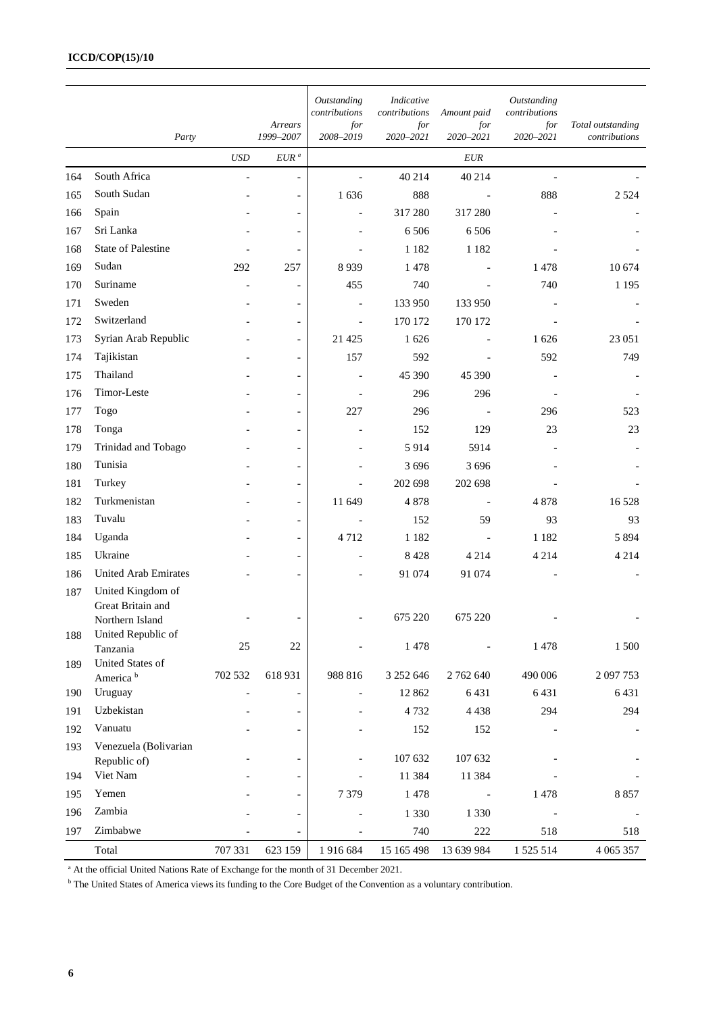#### **ICCD/COP(15)/10**

|     | Party                                    |                | Arrears<br>1999-2007     | Outstanding<br>contributions<br>for<br>2008-2019 | Indicative<br>contributions<br>for<br>2020-2021 | Amount paid<br>for<br>2020-2021 | Outstanding<br>contributions<br>for<br>2020-2021 | Total outstanding<br>contributions |
|-----|------------------------------------------|----------------|--------------------------|--------------------------------------------------|-------------------------------------------------|---------------------------------|--------------------------------------------------|------------------------------------|
|     |                                          | <b>USD</b>     | $EUR$ $\!$ $\!$          |                                                  |                                                 | <b>EUR</b>                      |                                                  |                                    |
| 164 | South Africa                             | $\overline{a}$ | $\overline{\phantom{a}}$ | $\overline{\phantom{a}}$                         | 40 214                                          | 40 214                          | $\blacksquare$                                   |                                    |
| 165 | South Sudan                              |                | $\overline{\phantom{0}}$ | 1636                                             | 888                                             |                                 | 888                                              | 2 5 2 4                            |
| 166 | Spain                                    |                | $\overline{\phantom{a}}$ | $\overline{a}$                                   | 317 280                                         | 317 280                         |                                                  |                                    |
| 167 | Sri Lanka                                |                | $\overline{\phantom{a}}$ |                                                  | 6 5 0 6                                         | 6 5 0 6                         |                                                  |                                    |
| 168 | <b>State of Palestine</b>                |                | $\overline{\phantom{a}}$ |                                                  | 1 1 8 2                                         | 1 1 8 2                         |                                                  |                                    |
| 169 | Sudan                                    | 292            | 257                      | 8939                                             | 1478                                            |                                 | 1478                                             | 10 674                             |
| 170 | Suriname                                 |                | $\overline{\phantom{a}}$ | 455                                              | 740                                             |                                 | 740                                              | 1 1 9 5                            |
| 171 | Sweden                                   |                | $\overline{\phantom{a}}$ | $\overline{\phantom{a}}$                         | 133 950                                         | 133 950                         |                                                  |                                    |
| 172 | Switzerland                              |                | $\overline{\phantom{a}}$ | $\overline{\phantom{a}}$                         | 170 172                                         | 170 172                         |                                                  |                                    |
| 173 | Syrian Arab Republic                     |                | $\overline{\phantom{a}}$ | 21 4 25                                          | 1626                                            |                                 | 1626                                             | 23 051                             |
| 174 | Tajikistan                               |                | $\overline{\phantom{a}}$ | 157                                              | 592                                             |                                 | 592                                              | 749                                |
| 175 | Thailand                                 |                | $\overline{\phantom{0}}$ |                                                  | 45 390                                          | 45 390                          |                                                  |                                    |
| 176 | Timor-Leste                              |                | $\overline{\phantom{a}}$ |                                                  | 296                                             | 296                             |                                                  |                                    |
| 177 | Togo                                     |                | $\overline{\phantom{a}}$ | 227                                              | 296                                             |                                 | 296                                              | 523                                |
| 178 | Tonga                                    |                | $\overline{\phantom{a}}$ |                                                  | 152                                             | 129                             | 23                                               | 23                                 |
| 179 | Trinidad and Tobago                      |                | $\overline{\phantom{a}}$ |                                                  | 5914                                            | 5914                            |                                                  |                                    |
| 180 | Tunisia                                  |                | $\overline{\phantom{a}}$ |                                                  | 3 6 9 6                                         | 3 6 9 6                         |                                                  |                                    |
| 181 | Turkey                                   |                | $\overline{\phantom{a}}$ |                                                  | 202 698                                         | 202 698                         |                                                  |                                    |
| 182 | Turkmenistan                             |                | $\overline{\phantom{a}}$ | 11 649                                           | 4878                                            |                                 | 4878                                             | 16 5 28                            |
| 183 | Tuvalu                                   |                | $\overline{\phantom{a}}$ |                                                  | 152                                             | 59                              | 93                                               | 93                                 |
| 184 | Uganda                                   |                | $\overline{\phantom{a}}$ | 4712                                             | 1 1 8 2                                         |                                 | 1 1 8 2                                          | 5 8 9 4                            |
| 185 | Ukraine                                  |                | $\overline{\phantom{a}}$ |                                                  | 8428                                            | 4 2 1 4                         | 4 2 1 4                                          | 4 2 1 4                            |
| 186 | <b>United Arab Emirates</b>              |                | $\overline{\phantom{0}}$ |                                                  | 91 074                                          | 91 074                          |                                                  |                                    |
| 187 | United Kingdom of<br>Great Britain and   |                |                          |                                                  | 675 220                                         | 675 220                         |                                                  |                                    |
| 188 | Northern Island<br>United Republic of    |                |                          |                                                  |                                                 |                                 |                                                  |                                    |
|     | Tanzania                                 | 25             | $22\,$                   |                                                  | 1478                                            |                                 | 1478                                             | 1 500                              |
| 189 | United States of<br>America <sup>b</sup> | 702 532        | 618931                   | 988 816                                          | 3 252 646                                       | 2 762 640                       | 490 006                                          | 2 097 753                          |
| 190 | Uruguay                                  |                | $\overline{\phantom{a}}$ | $\overline{\phantom{a}}$                         | 12 862                                          | 6431                            | 6431                                             | 6431                               |
| 191 | Uzbekistan                               |                | $\overline{\phantom{a}}$ |                                                  | 4732                                            | 4 4 3 8                         | 294                                              | 294                                |
| 192 | Vanuatu                                  |                | $\overline{\phantom{0}}$ |                                                  | 152                                             | 152                             |                                                  |                                    |
| 193 | Venezuela (Bolivarian                    |                |                          |                                                  |                                                 |                                 |                                                  |                                    |
|     | Republic of)                             |                |                          |                                                  | 107 632                                         | 107 632                         |                                                  |                                    |
| 194 | Viet Nam                                 |                |                          |                                                  | 11 384                                          | 11 384                          |                                                  |                                    |
| 195 | Yemen                                    |                |                          | 7 3 7 9                                          | 1478                                            |                                 | 1478                                             | 8857                               |
| 196 | Zambia                                   |                | $\overline{\phantom{a}}$ |                                                  | 1 3 3 0                                         | 1 3 3 0                         |                                                  |                                    |
| 197 | Zimbabwe                                 |                | $\overline{a}$           |                                                  | 740                                             | 222                             | 518                                              | 518                                |
|     | Total                                    | 707 331        | 623 159                  | 1916684                                          | 15 165 498                                      | 13 639 984                      | 1 525 514                                        | 4 0 65 357                         |

<sup>a</sup> At the official United Nations Rate of Exchange for the month of 31 December 2021.

<sup>b</sup> The United States of America views its funding to the Core Budget of the Convention as a voluntary contribution.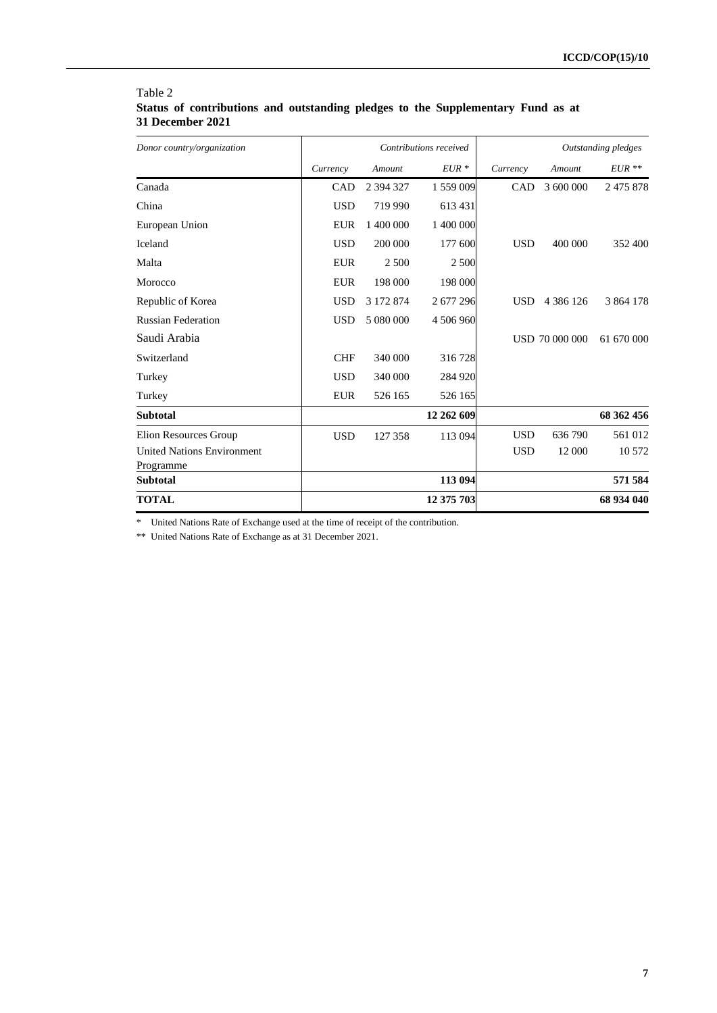| Donor country/organization                     |            | Contributions received |            |            | Outstanding pledges   |            |  |
|------------------------------------------------|------------|------------------------|------------|------------|-----------------------|------------|--|
|                                                | Currency   | Amount                 | $EUR*$     | Currency   | Amount                | $EUR**$    |  |
| Canada                                         | <b>CAD</b> | 2 394 327              | 1 559 009  | <b>CAD</b> | 3 600 000             | 2 475 878  |  |
| China                                          | <b>USD</b> | 719 990                | 613 431    |            |                       |            |  |
| European Union                                 | <b>EUR</b> | 1 400 000              | 1 400 000  |            |                       |            |  |
| Iceland                                        | <b>USD</b> | 200 000                | 177 600    | <b>USD</b> | 400 000               | 352 400    |  |
| Malta                                          | <b>EUR</b> | 2 500                  | 2 500      |            |                       |            |  |
| Morocco                                        | <b>EUR</b> | 198 000                | 198 000    |            |                       |            |  |
| Republic of Korea                              | <b>USD</b> | 3 172 874              | 2677296    | <b>USD</b> | 4 3 8 6 1 2 6         | 3 864 178  |  |
| <b>Russian Federation</b>                      | <b>USD</b> | 5 080 000              | 4 506 960  |            |                       |            |  |
| Saudi Arabia                                   |            |                        |            |            | <b>USD 70 000 000</b> | 61 670 000 |  |
| Switzerland                                    | <b>CHF</b> | 340 000                | 316728     |            |                       |            |  |
| Turkey                                         | <b>USD</b> | 340 000                | 284 920    |            |                       |            |  |
| Turkey                                         | <b>EUR</b> | 526 165                | 526 165    |            |                       |            |  |
| <b>Subtotal</b>                                |            |                        | 12 262 609 |            |                       | 68 362 456 |  |
| Elion Resources Group                          | <b>USD</b> | 127 358                | 113 094    | <b>USD</b> | 636 790               | 561 012    |  |
| <b>United Nations Environment</b><br>Programme |            |                        |            | <b>USD</b> | 12 000                | 10 572     |  |
| <b>Subtotal</b>                                |            |                        | 113 094    |            |                       | 571 584    |  |
| <b>TOTAL</b>                                   |            |                        | 12 375 703 |            |                       | 68 934 040 |  |

#### Table 2 **Status of contributions and outstanding pledges to the Supplementary Fund as at 31 December 2021**

\* United Nations Rate of Exchange used at the time of receipt of the contribution.

\*\* United Nations Rate of Exchange as at 31 December 2021.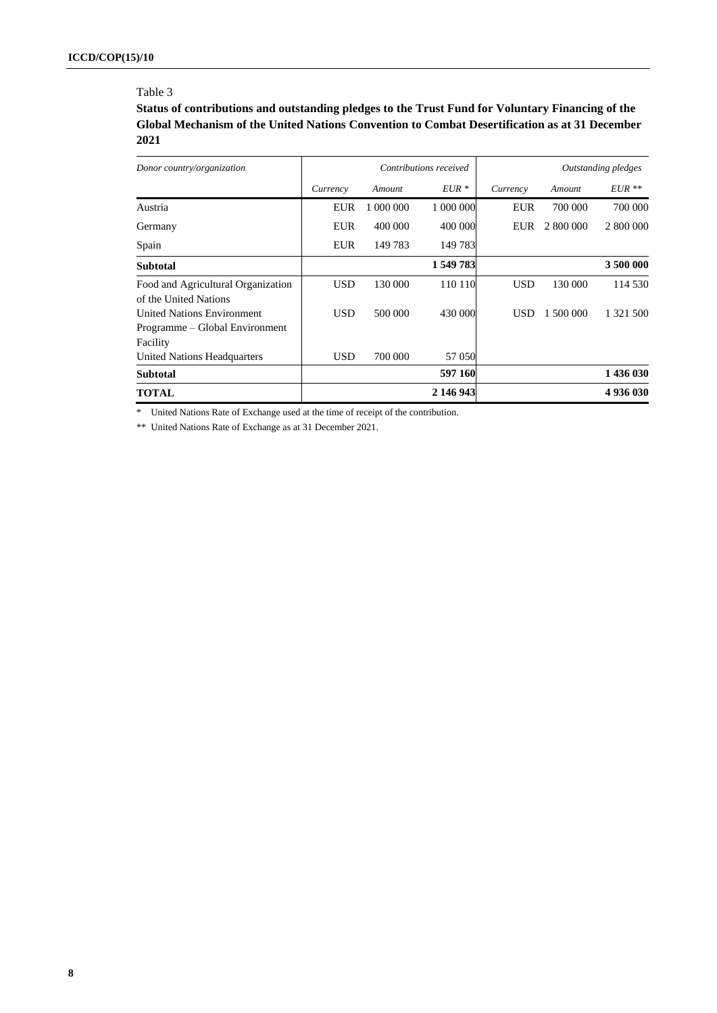#### Table 3

**Status of contributions and outstanding pledges to the Trust Fund for Voluntary Financing of the Global Mechanism of the United Nations Convention to Combat Desertification as at 31 December 2021**

| Donor country/organization                                                      | Contributions received |           |           |            |           | Outstanding pledges |
|---------------------------------------------------------------------------------|------------------------|-----------|-----------|------------|-----------|---------------------|
|                                                                                 | Currency               | Amount    | $EUR*$    | Currency   | Amount    | $EUR**$             |
| Austria                                                                         | <b>EUR</b>             | 1 000 000 | 1 000 000 | <b>EUR</b> | 700 000   | 700 000             |
| Germany                                                                         | <b>EUR</b>             | 400 000   | 400 000   | EUR        | 2 800 000 | 2 800 000           |
| Spain                                                                           | <b>EUR</b>             | 149 783   | 149783    |            |           |                     |
| <b>Subtotal</b>                                                                 |                        |           | 1 549 783 |            |           | 3 500 000           |
| Food and Agricultural Organization<br>of the United Nations                     | USD                    | 130 000   | 110 110   | <b>USD</b> | 130 000   | 114 530             |
| <b>United Nations Environment</b><br>Programme – Global Environment<br>Facility | USD                    | 500 000   | 430 000   | <b>USD</b> | 1 500 000 | 1 321 500           |
| United Nations Headquarters                                                     | USD                    | 700 000   | 57 050    |            |           |                     |
| <b>Subtotal</b>                                                                 |                        |           | 597 160   |            |           | 1 436 030           |
| <b>TOTAL</b>                                                                    |                        |           | 2 146 943 |            |           | 4936030             |

\* United Nations Rate of Exchange used at the time of receipt of the contribution.

\*\* United Nations Rate of Exchange as at 31 December 2021.